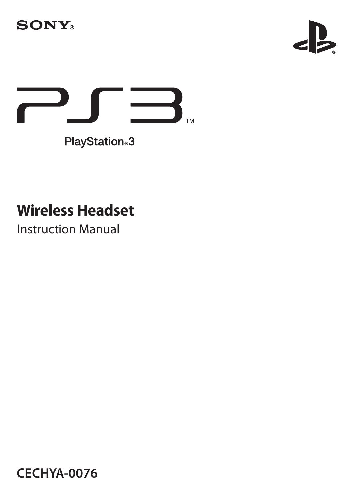





PlayStation<sub>®</sub>3

# **Wireless Headset**

Instruction Manual

**CECHYA-0076**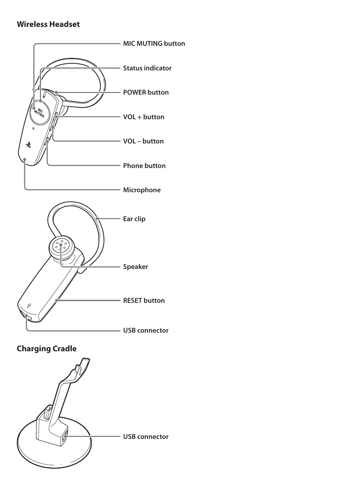#### **Wireless Headset**



## **Charging Cradle**

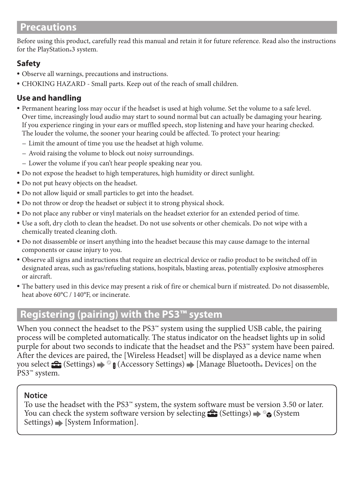## **Precautions**

Before using this product, carefully read this manual and retain it for future reference. Read also the instructions for the PlayStation®3 system.

#### **Safety**

- ˎ Observe all warnings, precautions and instructions.
- ˎ CHOKING HAZARD Small parts. Keep out of the reach of small children.

#### **Use and handling**

- ˎ Permanent hearing loss may occur if the headset is used at high volume. Set the volume to a safe level. Over time, increasingly loud audio may start to sound normal but can actually be damaging your hearing. If you experience ringing in your ears or muffled speech, stop listening and have your hearing checked. The louder the volume, the sooner your hearing could be affected. To protect your hearing:
	- Limit the amount of time you use the headset at high volume.
	- Avoid raising the volume to block out noisy surroundings.
	- Lower the volume if you can't hear people speaking near you.
- ˎ Do not expose the headset to high temperatures, high humidity or direct sunlight.
- ˎ Do not put heavy objects on the headset.
- ˎ Do not allow liquid or small particles to get into the headset.
- ˎ Do not throw or drop the headset or subject it to strong physical shock.
- ˎ Do not place any rubber or vinyl materials on the headset exterior for an extended period of time.
- ˎ Use a soft, dry cloth to clean the headset. Do not use solvents or other chemicals. Do not wipe with a chemically treated cleaning cloth.
- ˎ Do not disassemble or insert anything into the headset because this may cause damage to the internal components or cause injury to you.
- ˎ Observe all signs and instructions that require an electrical device or radio product to be switched off in designated areas, such as gas/refueling stations, hospitals, blasting areas, potentially explosive atmospheres or aircraft.
- ˎ The battery used in this device may present a risk of fire or chemical burn if mistreated. Do not disassemble, heat above 60°C / 140°F, or incinerate.

## **Registering (pairing) with the PS3™ system**

When you connect the headset to the PS3™ system using the supplied USB cable, the pairing process will be completed automatically. The status indicator on the headset lights up in solid purple for about two seconds to indicate that the headset and the PS3™ system have been paired. After the devices are paired, the [Wireless Headset] will be displayed as a device name when you select <del>ex</del> (Settings) ⇒ ® **8** (Accessory Settings) ➡ [Manage Bluetooth® Devices] on the<br>DS2™ system PS3™ system.

#### **Notice**

To use the headset with the PS3™ system, the system software must be version 3.50 or later. You can check the system software version by selecting  $\bigoplus$  (Settings)  $\Rightarrow$   $\circ$  (System  $Settings) \Rightarrow [System Information].$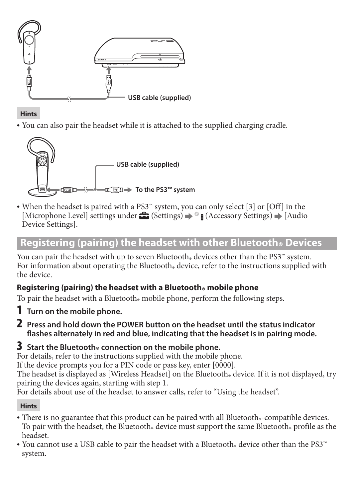

#### **Hints**

<sup>ˎ</sup> You can also pair the headset while it is attached to the supplied charging cradle.



<sup>ˎ</sup> When the headset is paired with a PS3™ system, you can only select [3] or [Off] in the [Microphone Level] settings under  $\bigoplus$  (Settings)  $\Rightarrow$  **a** (Accessory Settings)  $\Rightarrow$  [Audio Device Settings].

## **Registering (pairing) the headset with other Bluetooth® Devices**

You can pair the headset with up to seven Bluetooth® devices other than the PS3™ system.<br>For information about an entire the Plustacth, davice, refer to the instructions symplical For information about operating the Bluetooth» device, refer to the instructions supplied with<br>the device the device.

#### **Registering (pairing) the headset with a Bluetooth® mobile phone**

To pair the headset with a Bluetooth® mobile phone, perform the following steps.

- 1 **Turn on the mobile phone.**
- 2 **Press and hold down the POWER button on the headset until the status indicator flashes alternately in red and blue, indicating that the headset is in pairing mode.**

## **3** Start the Bluetooth® connection on the mobile phone.

For details, refer to the instructions supplied with the mobile phone.

If the device prompts you for a PIN code or pass key, enter [0000].

The headset is displayed as [Wireless Headset] on the Bluetooth $_{\circ}$  device. If it is not displayed, try maining the devices active attributed in the state of the device of the device. pairing the devices again, starting with step 1.

For details about use of the headset to answer calls, refer to "Using the headset".

#### **Hints**

- There is no guarantee that this product can be paired with all Bluetooth®-compatible devices.<br>To pair with the hardest the Bluetooth, davies must sum on the same Bluetooth, must least the To pair with the headset, the Bluetooth® device must support the same Bluetooth® profile as the<br>hardert headset.
- You cannot use a USB cable to pair the headset with a Bluetooth® device other than the PS3™ system.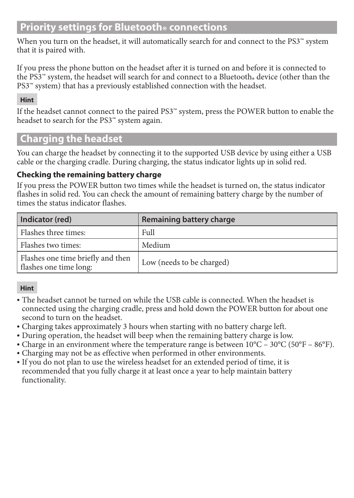## **Priority settings for Bluetooth® connections**

When you turn on the headset, it will automatically search for and connect to the PS3™ system that it is paired with.

If you press the phone button on the headset after it is turned on and before it is connected to the PS3<sup>™</sup> system, the headset will search for and connect to a Bluetooth® device (other than the  $RST^*$  outom) that has a proviously ottablished connection with the headset PS3™ system) that has a previously established connection with the headset.

#### **Hint**

If the headset cannot connect to the paired PS3™ system, press the POWER button to enable the headset to search for the PS3™ system again.

## **Charging the headset**

You can charge the headset by connecting it to the supported USB device by using either a USB cable or the charging cradle. During charging, the status indicator lights up in solid red.

#### **Checking the remaining battery charge**

If you press the POWER button two times while the headset is turned on, the status indicator flashes in solid red. You can check the amount of remaining battery charge by the number of times the status indicator flashes.

| Indicator (red)                                             | Remaining battery charge  |
|-------------------------------------------------------------|---------------------------|
| Flashes three times:                                        | Full                      |
| Flashes two times:                                          | Medium                    |
| Flashes one time briefly and then<br>flashes one time long: | Low (needs to be charged) |

#### **Hint**

- The headset cannot be turned on while the USB cable is connected. When the headset is connected using the charging cradle, press and hold down the POWER button for about one second to turn on the headset.
- <sup>ˎ</sup> Charging takes approximately 3 hours when starting with no battery charge left.
- <sup>ˎ</sup> During operation, the headset will beep when the remaining battery charge is low.
- Charge in an environment where the temperature range is between  $10^{\circ}C 30^{\circ}C (50^{\circ}F 86^{\circ}F)$ .
- <sup>ˎ</sup> Charging may not be as effective when performed in other environments.
- <sup>ˎ</sup> If you do not plan to use the wireless headset for an extended period of time, it is recommended that you fully charge it at least once a year to help maintain battery functionality.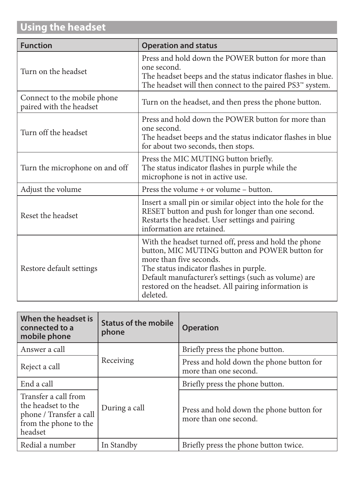## **Using the headset**

| <b>Function</b>                                        | <b>Operation and status</b>                                                                                                                                                                                                                                                                              |
|--------------------------------------------------------|----------------------------------------------------------------------------------------------------------------------------------------------------------------------------------------------------------------------------------------------------------------------------------------------------------|
| Turn on the headset                                    | Press and hold down the POWER button for more than<br>one second.<br>The headset beeps and the status indicator flashes in blue.<br>The headset will then connect to the paired PS3 <sup>**</sup> system.                                                                                                |
| Connect to the mobile phone<br>paired with the headset | Turn on the headset, and then press the phone button.                                                                                                                                                                                                                                                    |
| Turn off the headset                                   | Press and hold down the POWER button for more than<br>one second.<br>The headset beeps and the status indicator flashes in blue<br>for about two seconds, then stops.                                                                                                                                    |
| Turn the microphone on and off                         | Press the MIC MUTING button briefly.<br>The status indicator flashes in purple while the<br>microphone is not in active use.                                                                                                                                                                             |
| Adjust the volume                                      | Press the volume + or volume - button.                                                                                                                                                                                                                                                                   |
| Reset the headset                                      | Insert a small pin or similar object into the hole for the<br>RESET button and push for longer than one second.<br>Restarts the headset. User settings and pairing<br>information are retained.                                                                                                          |
| Restore default settings                               | With the headset turned off, press and hold the phone<br>button, MIC MUTING button and POWER button for<br>more than five seconds.<br>The status indicator flashes in purple.<br>Default manufacturer's settings (such as volume) are<br>restored on the headset. All pairing information is<br>deleted. |

| When the headset is<br>connected to a<br>mobile phone                                                     | Status of the mobile<br>phone | Operation                                                         |
|-----------------------------------------------------------------------------------------------------------|-------------------------------|-------------------------------------------------------------------|
| Answer a call                                                                                             |                               | Briefly press the phone button.                                   |
| Reject a call                                                                                             | Receiving                     | Press and hold down the phone button for<br>more than one second. |
| End a call                                                                                                |                               | Briefly press the phone button.                                   |
| Transfer a call from<br>the headset to the<br>phone / Transfer a call<br>from the phone to the<br>headset | During a call                 | Press and hold down the phone button for<br>more than one second. |
| Redial a number                                                                                           | In Standby                    | Briefly press the phone button twice.                             |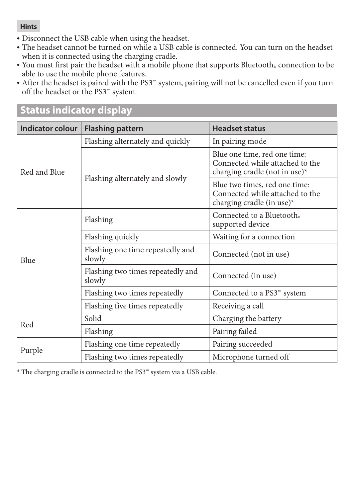#### **Hints**

- <sup>ˎ</sup> Disconnect the USB cable when using the headset.
- <sup>ˎ</sup> The headset cannot be turned on while a USB cable is connected. You can turn on the headset when it is connected using the charging cradle.
- You must first pair the headset with a mobile phone that supports Bluetooth® connection to be<br>
chlo to use the mobile phone features able to use the mobile phone features.
- After the headset is paired with the PS3™ system, pairing will not be cancelled even if you turn off the headset or the PS3™ system.

| <b>Indicator colour</b> | <b>Flashing pattern</b>                     | <b>Headset status</b>                                                                               |
|-------------------------|---------------------------------------------|-----------------------------------------------------------------------------------------------------|
| Red and Blue            | Flashing alternately and quickly            | In pairing mode                                                                                     |
|                         |                                             | Blue one time, red one time:<br>Connected while attached to the<br>charging cradle (not in use) $*$ |
|                         | Flashing alternately and slowly             | Blue two times, red one time:<br>Connected while attached to the<br>charging cradle (in use)*       |
| Blue                    | Flashing                                    | Connected to a Bluetooth.<br>supported device                                                       |
|                         | Flashing quickly                            | Waiting for a connection                                                                            |
|                         | Flashing one time repeatedly and<br>slowly  | Connected (not in use)                                                                              |
|                         | Flashing two times repeatedly and<br>slowly | Connected (in use)                                                                                  |
|                         | Flashing two times repeatedly               | Connected to a PS3 <sup>™</sup> system                                                              |
|                         | Flashing five times repeatedly              | Receiving a call                                                                                    |
| Red                     | Solid                                       | Charging the battery                                                                                |
|                         | Flashing                                    | Pairing failed                                                                                      |
| Purple                  | Flashing one time repeatedly                | Pairing succeeded                                                                                   |
|                         | Flashing two times repeatedly               | Microphone turned off                                                                               |

## **Status indicator display**

\* The charging cradle is connected to the PS3™ system via a USB cable.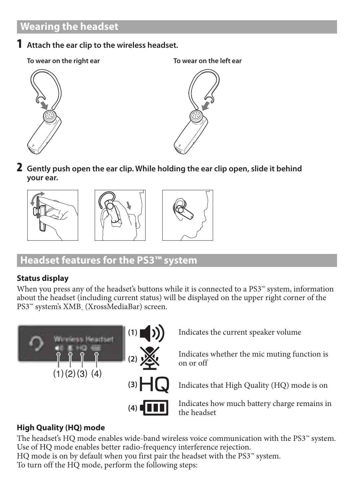## **Wearing the headset**

- 1 **Attach the ear clip to the wireless headset.**
	- **To wear on the right ear To wear on the left ear**





2 **Gently push open the ear clip. While holding the ear clip open, slide it behind your ear.**







## **Headset features for the PS3™ system**

#### **Status display**

When you press any of the headset's buttons while it is connected to a PS3™ system, information about the headset (including current status) will be displayed on the upper right corner of the PS3™ system's XMB⊥ (XrossMediaBar) screen.



#### **High Quality (HQ) mode**

The headset's HQ mode enables wide-band wireless voice communication with the PS3™ system. Use of HQ mode enables better radio-frequency interference rejection. HQ mode is on by default when you first pair the headset with the PS3™ system. To turn off the HQ mode, perform the following steps: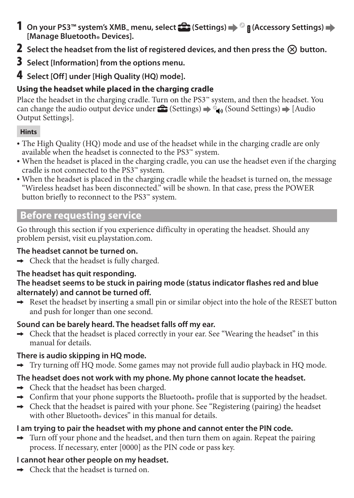- 1 On your PS3<sup>™</sup> system's XMB<sub>™</sub> menu, select **(Settings)** → <sup>©</sup> **B** (Accessory Settings) → **[Manage Bluetooth**® Devices].
- **2** Select the headset from the list of registered devices, and then press the  $\otimes$  button.
- 3 **Select [Information] from the options menu.**
- 4 **Select [Off] under [High Quality (HQ) mode].**

## **Using the headset while placed in the charging cradle**

Place the headset in the charging cradle. Turn on the PS3™ system, and then the headset. You can change the audio output device under  $\hat{\Xi}$  (Settings)  $\Rightarrow$  (Sound Settings)  $\Rightarrow$  [Audio Output Settings].

#### **Hints**

- The High Quality (HQ) mode and use of the headset while in the charging cradle are only available when the headset is connected to the PS3™ system.
- <sup>ˎ</sup> When the headset is placed in the charging cradle, you can use the headset even if the charging cradle is not connected to the PS3™ system.
- <sup>ˎ</sup> When the headset is placed in the charging cradle while the headset is turned on, the message "Wireless headset has been disconnected." will be shown. In that case, press the POWER button briefly to reconnect to the PS3™ system.

## **Before requesting service**

Go through this section if you experience difficulty in operating the headset. Should any problem persist, visit eu.playstation.com.

## **The headset cannot be turned on.**

 $\rightarrow$  Check that the headset is fully charged.

## **The headset has quit responding.**

#### **The headset seems to be stuck in pairing mode (status indicator flashes red and blue alternately) and cannot be turned off.**

 $\rightarrow$  Reset the headset by inserting a small pin or similar object into the hole of the RESET button and push for longer than one second.

#### **Sound can be barely heard. The headset falls off my ear.**

 $\rightarrow$  Check that the headset is placed correctly in your ear. See "Wearing the headset" in this manual for details.

## **There is audio skipping in HQ mode.**

 $\rightarrow$  Try turning off HQ mode. Some games may not provide full audio playback in HQ mode.

## **The headset does not work with my phone. My phone cannot locate the headset.**

- $\rightarrow$  Check that the headset has been charged.
- $\rightarrow$  Confirm that your phone supports the Bluetooth $\cdot$  profile that is supported by the headset.
- $\rightarrow$  Check that the headset is paired with your phone. See "Registering (pairing) the headset with other Bluetooth $_{\circ}$  devices" in this manual for details.

## **I am trying to pair the headset with my phone and cannot enter the PIN code.**

 $\rightarrow$  Turn off your phone and the headset, and then turn them on again. Repeat the pairing process. If necessary, enter [0000] as the PIN code or pass key.

## **I cannot hear other people on my headset.**

 $\rightarrow$  Check that the headset is turned on.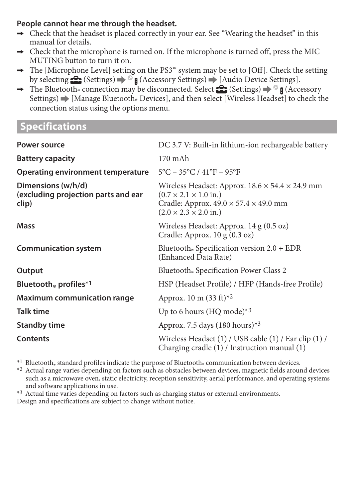#### **People cannot hear me through the headset.**

- $\rightarrow$  Check that the headset is placed correctly in your ear. See "Wearing the headset" in this manual for details.
- $\rightarrow$  Check that the microphone is turned on. If the microphone is turned off, press the MIC MUTING button to turn it on.
- $\rightarrow$  The [Microphone Level] setting on the PS3<sup>™</sup> system may be set to [Off]. Check the setting by selecting  $\bigoplus$  (Settings)  $\Rightarrow$   $\circ$  **A** (Accessory Settings)  $\Rightarrow$  [Audio Device Settings].
- $\rightarrow$  The Bluetooth® connection may be disconnected. Select  $\mathbb{C}$  (Settings)  $\Rightarrow$  **f** (Accessory Settings)  $\blacktriangleright$  [Manage Bluetooth., Devices], and then select [Wireless Headset] to check the connection status using the options menu.

## **Specifications**

| Power source                                                       | DC 3.7 V: Built-in lithium-ion rechargeable battery                                                                                                                                                        |
|--------------------------------------------------------------------|------------------------------------------------------------------------------------------------------------------------------------------------------------------------------------------------------------|
| <b>Battery capacity</b>                                            | $170$ mAh                                                                                                                                                                                                  |
| Operating environment temperature                                  | $5^{\circ}$ C – 35°C / 41°F – 95°F                                                                                                                                                                         |
| Dimensions (w/h/d)<br>(excluding projection parts and ear<br>clip) | Wireless Headset: Approx. $18.6 \times 54.4 \times 24.9$ mm<br>$(0.7 \times 2.1 \times 1.0 \text{ in.})$<br>Cradle: Approx. $49.0 \times 57.4 \times 49.0$ mm<br>$(2.0 \times 2.3 \times 2.0 \text{ in.})$ |
| Mass                                                               | Wireless Headset: Approx. 14 g (0.5 oz)<br>Cradle: Approx. 10 g (0.3 oz)                                                                                                                                   |
| <b>Communication system</b>                                        | Bluetooth, Specification version $2.0 + EDR$<br>(Enhanced Data Rate)                                                                                                                                       |
| Output                                                             | Bluetooth, Specification Power Class 2                                                                                                                                                                     |
| Bluetooth, profiles $*1$                                           | HSP (Headset Profile) / HFP (Hands-free Profile)                                                                                                                                                           |
| <b>Maximum communication range</b>                                 | Approx. 10 m $(33 \text{ ft})^{*2}$                                                                                                                                                                        |
| <b>Talk time</b>                                                   | Up to 6 hours (HQ mode) $*3$                                                                                                                                                                               |
| <b>Standby time</b>                                                | Approx. 7.5 days $(180 \text{ hours})^{*3}$                                                                                                                                                                |
| Contents                                                           | Wireless Headset (1) / USB cable (1) / Ear clip (1) /<br>Charging cradle (1) / Instruction manual (1)                                                                                                      |

\*1 Bluetooth® standard profiles indicate the purpose of Bluetooth® communication between devices.<br>\*2. A the large service depending on feature such as a betaled between druizes, magnetic fields agent

\*2 Actual range varies depending on factors such as obstacles between devices, magnetic fields around devices such as a microwave oven, static electricity, reception sensitivity, aerial performance, and operating systems and software applications in use.

\*<sup>3</sup> Actual time varies depending on factors such as charging status or external environments.

Design and specifications are subject to change without notice.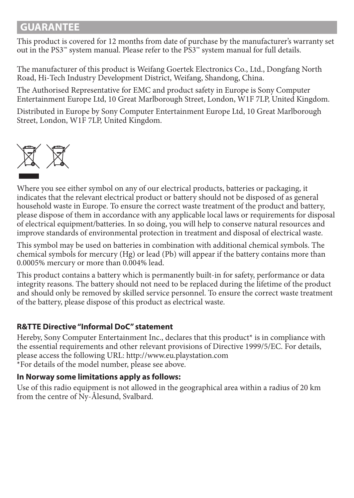## **GUARANTEE**

This product is covered for 12 months from date of purchase by the manufacturer's warranty set out in the PS3™ system manual. Please refer to the PS3™ system manual for full details.

The manufacturer of this product is Weifang Goertek Electronics Co., Ltd., Dongfang North Road, Hi-Tech Industry Development District, Weifang, Shandong, China.

The Authorised Representative for EMC and product safety in Europe is Sony Computer Entertainment Europe Ltd, 10 Great Marlborough Street, London, W1F 7LP, United Kingdom.

Distributed in Europe by Sony Computer Entertainment Europe Ltd, 10 Great Marlborough Street, London, W1F 7LP, United Kingdom.



Where you see either symbol on any of our electrical products, batteries or packaging, it indicates that the relevant electrical product or battery should not be disposed of as general household waste in Europe. To ensure the correct waste treatment of the product and battery, please dispose of them in accordance with any applicable local laws or requirements for disposal of electrical equipment/batteries. In so doing, you will help to conserve natural resources and improve standards of environmental protection in treatment and disposal of electrical waste.

This symbol may be used on batteries in combination with additional chemical symbols. The chemical symbols for mercury (Hg) or lead (Pb) will appear if the battery contains more than 0.0005% mercury or more than 0.004% lead.

This product contains a battery which is permanently built-in for safety, performance or data integrity reasons. The battery should not need to be replaced during the lifetime of the product and should only be removed by skilled service personnel. To ensure the correct waste treatment of the battery, please dispose of this product as electrical waste.

#### **R&TTE Directive "Informal DoC" statement**

Hereby, Sony Computer Entertainment Inc., declares that this product\* is in compliance with the essential requirements and other relevant provisions of Directive 1999/5/EC. For details, please access the following URL: http://www.eu.playstation.com \*For details of the model number, please see above.

#### **In Norway some limitations apply as follows:**

Use of this radio equipment is not allowed in the geographical area within a radius of 20 km from the centre of Ny-Ålesund, Svalbard.